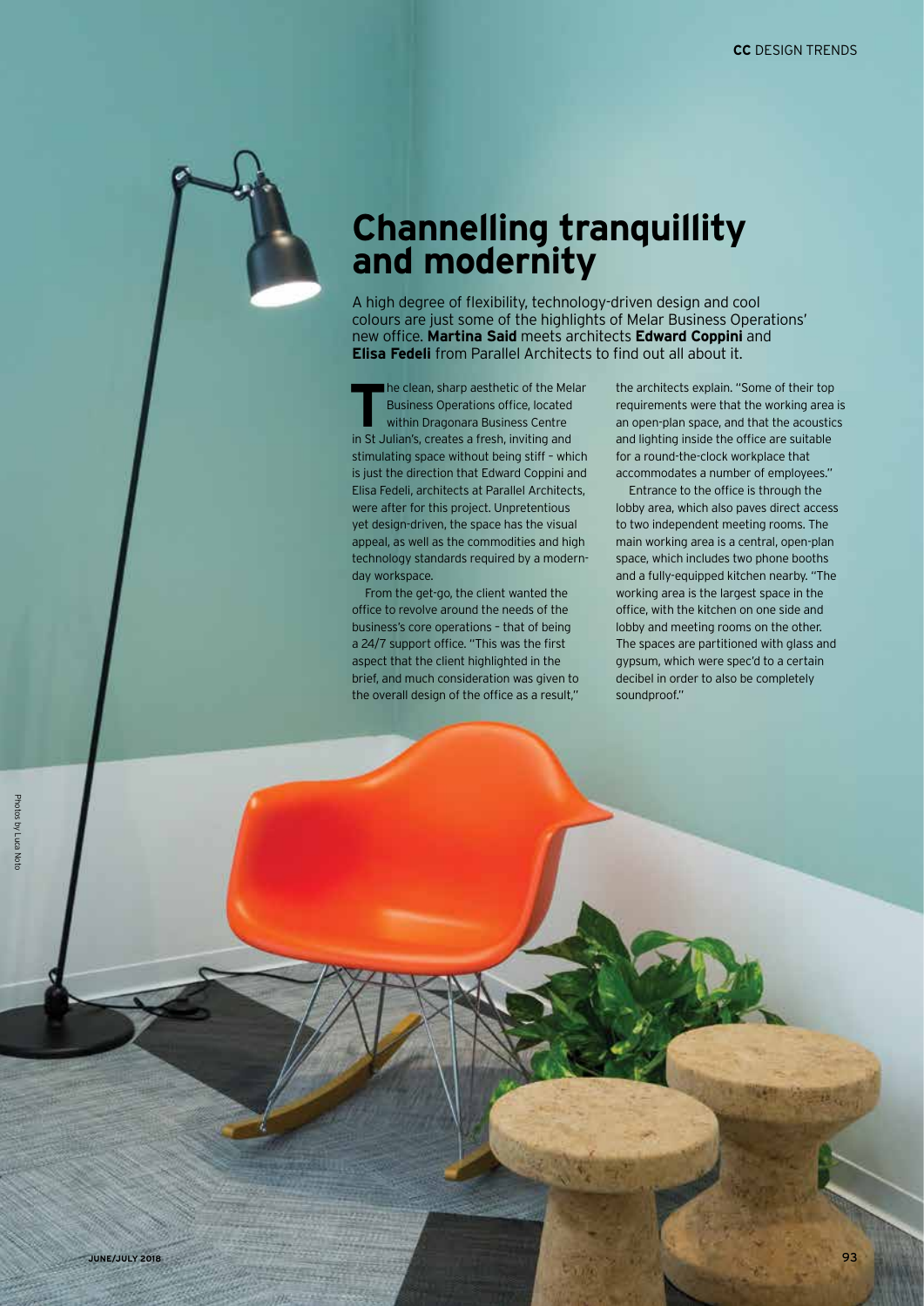## **Channelling tranquillity and modernity**

A high degree of flexibility, technology-driven design and cool colours are just some of the highlights of Melar Business Operations' new office. **Martina Said** meets architects **Edward Coppini** and **Elisa Fedeli** from Parallel Architects to find out all about it.

**The clean, sharp aesthetic of the Melar<br>Business Operations office, located<br>Within Dragonara Business Centre<br>Within Dragonara Business Centre** Business Operations office, located within Dragonara Business Centre in St Julian's, creates a fresh, inviting and stimulating space without being stiff – which is just the direction that Edward Coppini and Elisa Fedeli, architects at Parallel Architects, were after for this project. Unpretentious yet design-driven, the space has the visual appeal, as well as the commodities and high technology standards required by a modernday workspace.

From the get-go, the client wanted the office to revolve around the needs of the business's core operations – that of being a 24/7 support office. "This was the first aspect that the client highlighted in the brief, and much consideration was given to the overall design of the office as a result,"

the architects explain. "Some of their top requirements were that the working area is an open-plan space, and that the acoustics and lighting inside the office are suitable for a round-the-clock workplace that accommodates a number of employees."

Entrance to the office is through the lobby area, which also paves direct access to two independent meeting rooms. The main working area is a central, open-plan space, which includes two phone booths and a fully-equipped kitchen nearby. "The working area is the largest space in the office, with the kitchen on one side and lobby and meeting rooms on the other. The spaces are partitioned with glass and gypsum, which were spec'd to a certain decibel in order to also be completely soundproof."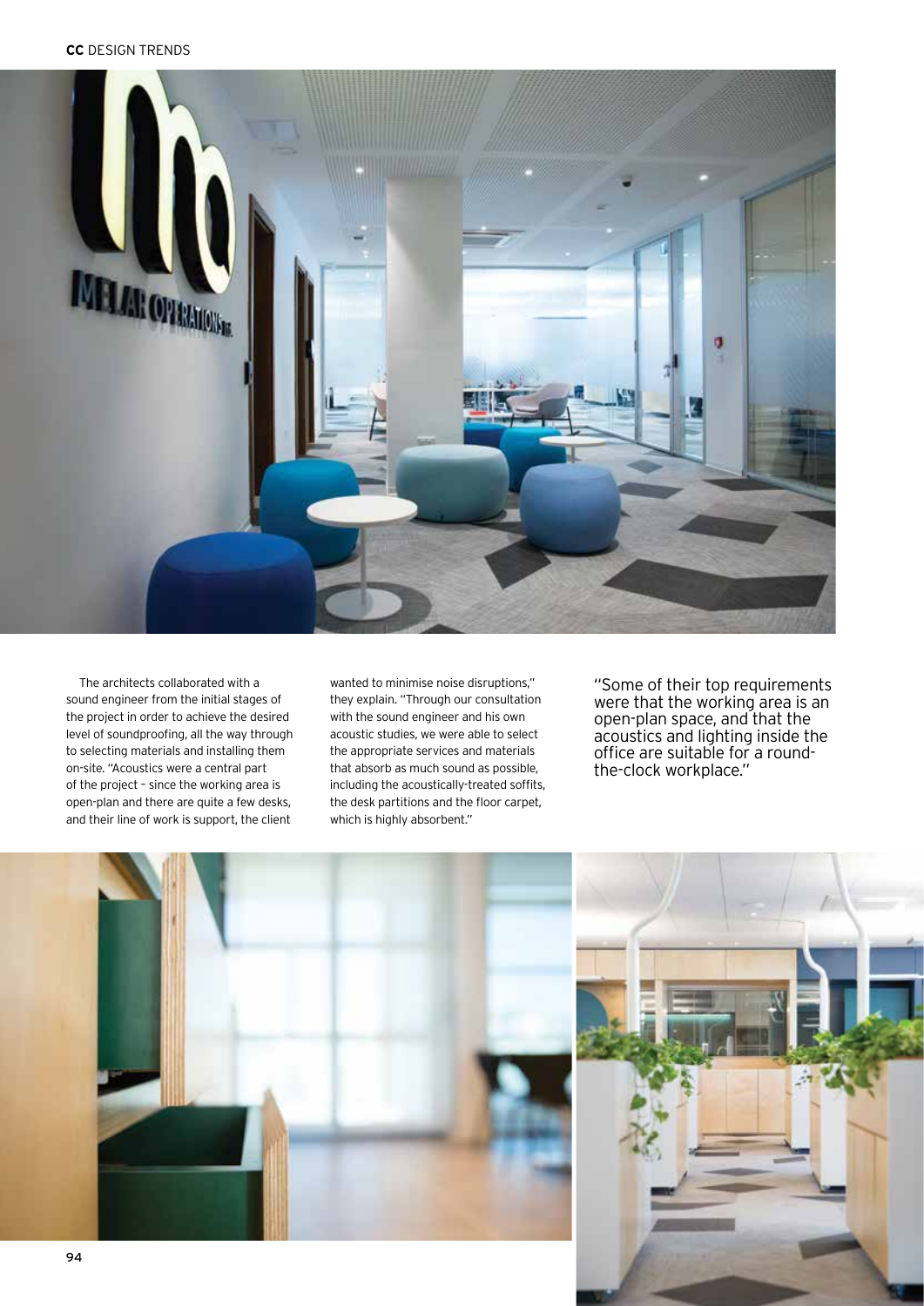

The architects collaborated with a sound engineer from the initial stages of the project in order to achieve the desired level of soundproofing, all the way through to selecting materials and installing them on-site. "Acoustics were a central part of the project – since the working area is open-plan and there are quite a few desks, and their line of work is support, the client

wanted to minimise noise disruptions," they explain. "Through our consultation with the sound engineer and his own acoustic studies, we were able to select the appropriate services and materials that absorb as much sound as possible, including the acoustically-treated soffits, the desk partitions and the floor carpet, which is highly absorbent."

"Some of their top requirements were that the working area is an open-plan space, and that the acoustics and lighting inside the office are suitable for a roundthe-clock workplace."



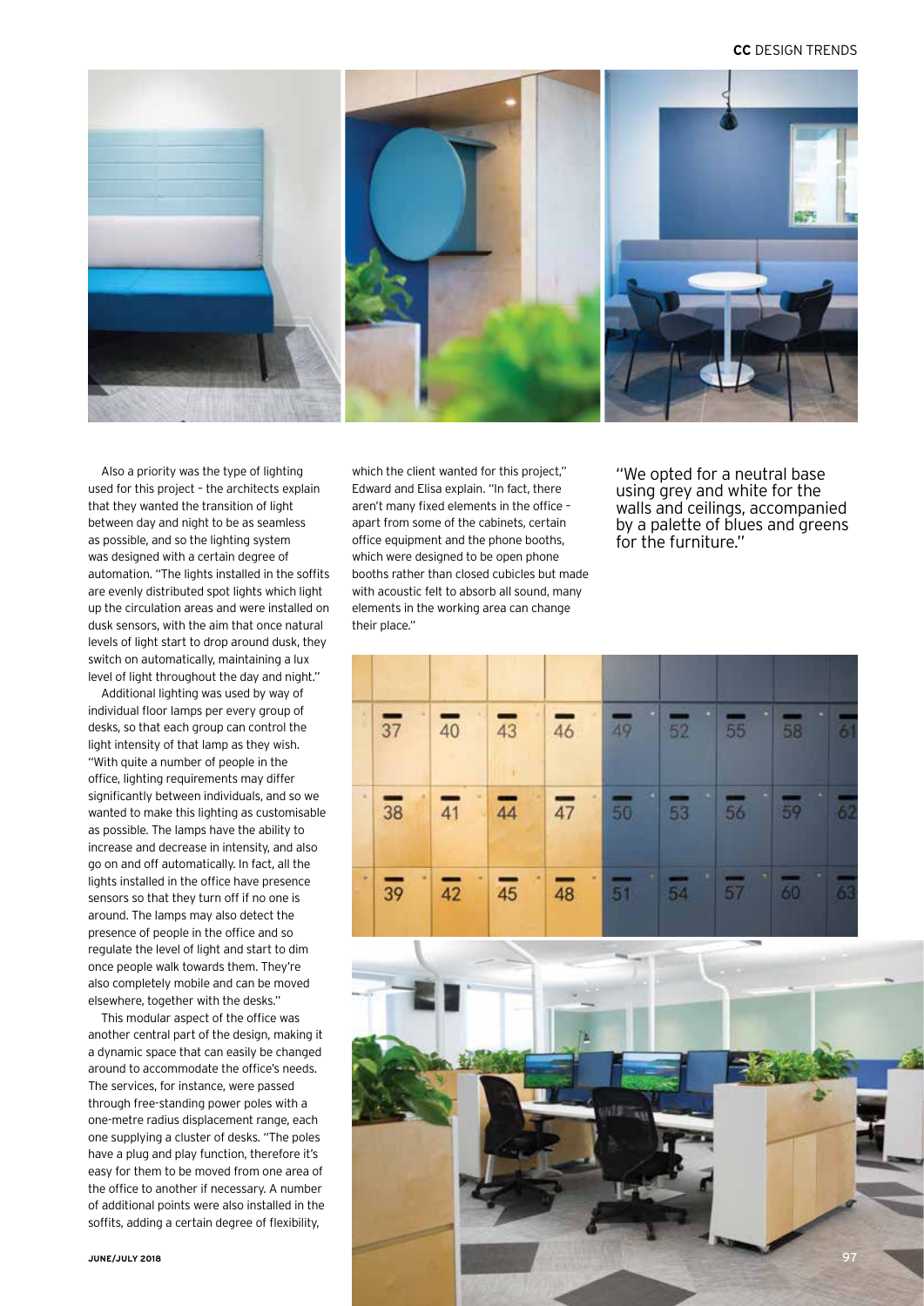## **CC** DESIGN TRENDS



Also a priority was the type of lighting used for this project – the architects explain that they wanted the transition of light between day and night to be as seamless as possible, and so the lighting system was designed with a certain degree of automation. "The lights installed in the soffits are evenly distributed spot lights which light up the circulation areas and were installed on dusk sensors, with the aim that once natural levels of light start to drop around dusk, they switch on automatically, maintaining a lux level of light throughout the day and night."

Additional lighting was used by way of individual floor lamps per every group of desks, so that each group can control the light intensity of that lamp as they wish. "With quite a number of people in the office, lighting requirements may differ significantly between individuals, and so we wanted to make this lighting as customisable as possible. The lamps have the ability to increase and decrease in intensity, and also go on and off automatically. In fact, all the lights installed in the office have presence sensors so that they turn off if no one is around. The lamps may also detect the presence of people in the office and so regulate the level of light and start to dim once people walk towards them. They're also completely mobile and can be moved elsewhere, together with the desks."

This modular aspect of the office was another central part of the design, making it a dynamic space that can easily be changed around to accommodate the office's needs. The services, for instance, were passed through free-standing power poles with a one-metre radius displacement range, each one supplying a cluster of desks. "The poles have a plug and play function, therefore it's easy for them to be moved from one area of the office to another if necessary. A number of additional points were also installed in the soffits, adding a certain degree of flexibility,

which the client wanted for this project," Edward and Elisa explain. "In fact, there aren't many fixed elements in the office – apart from some of the cabinets, certain office equipment and the phone booths, which were designed to be open phone booths rather than closed cubicles but made with acoustic felt to absorb all sound, many elements in the working area can change their place."

"We opted for a neutral base using grey and white for the walls and ceilings, accompanied by a palette of blues and greens for the furniture."